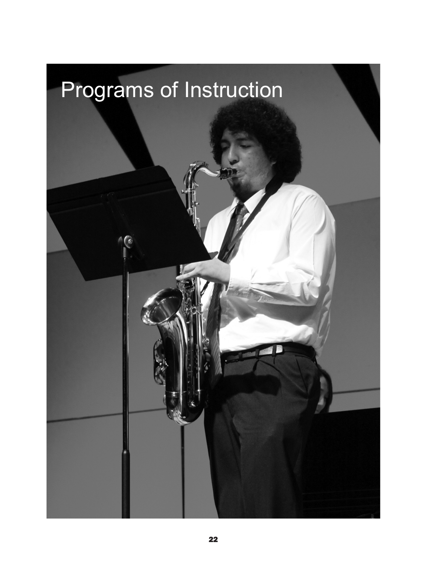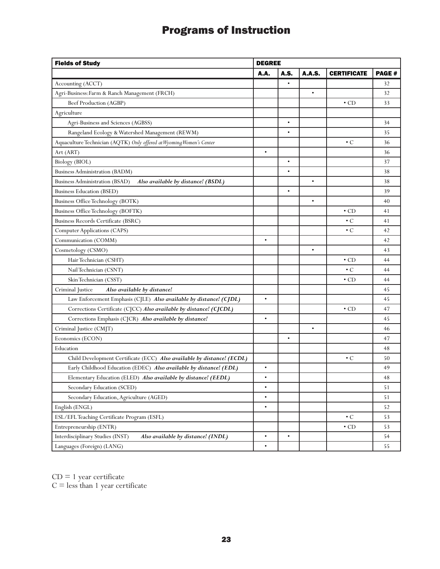## Programs of Instruction

| <b>Fields of Study</b>                                                 | <b>DEGREE</b> |           |               |                    |              |  |
|------------------------------------------------------------------------|---------------|-----------|---------------|--------------------|--------------|--|
|                                                                        | A.A.          | A.S.      | <b>A.A.S.</b> | <b>CERTIFICATE</b> | <b>PAGE#</b> |  |
| Accounting (ACCT)                                                      |               |           |               |                    | 32           |  |
| Agri-Business: Farm & Ranch Management (FRCH)                          |               |           | $\bullet$     |                    | 32           |  |
| Beef Production (AGBP)                                                 |               |           |               | $\cdot$ CD         | 33           |  |
| Agriculture                                                            |               |           |               |                    |              |  |
| Agri-Business and Sciences (AGBSS)                                     |               | $\bullet$ |               |                    | 34           |  |
| Rangeland Ecology & Watershed Management (REWM)                        |               | $\bullet$ |               |                    | 35           |  |
| Aquaculture Technician (AQTK) Only offered at Wyoming Women's Center   |               |           |               | $\cdot c$          | 36           |  |
| Art (ART)                                                              | $\bullet$     |           |               |                    | 36           |  |
| Biology (BIOL)                                                         |               | $\bullet$ |               |                    | 37           |  |
| Business Administration (BADM)                                         |               | $\bullet$ |               |                    | 38           |  |
| Business Administration (BSAD)<br>Also available by distance! (BSDL)   |               |           |               |                    | 38           |  |
| <b>Business Education (BSED)</b>                                       |               | $\bullet$ |               |                    | 39           |  |
| Business Office Technology (BOTK)                                      |               |           | $\bullet$     |                    | 40           |  |
| Business Office Technology (BOFTK)                                     |               |           |               | $\cdot$ CD         | 41           |  |
| Business Records Certificate (BSRC)                                    |               |           |               | $\cdot c$          | 41           |  |
| Computer Applications (CAPS)                                           |               |           |               | $\cdot c$          | 42           |  |
| Communication (COMM)                                                   | $\bullet$     |           |               |                    | 42           |  |
| Cosmetology (CSMO)                                                     |               |           |               |                    | 43           |  |
| Hair Technician (CSHT)                                                 |               |           |               | $\cdot$ CD         | 44           |  |
| Nail Technician (CSNT)                                                 |               |           |               | $\cdot c$          | 44           |  |
| Skin Technician (CSST)                                                 |               |           |               | $\cdot$ CD         | 44           |  |
| Criminal Justice<br>Also available by distance!                        |               |           |               |                    | 45           |  |
| Law Enforcement Emphasis (CJLE) Also available by distance! (CJDL)     | $\bullet$     |           |               |                    | 45           |  |
| Corrections Certificate (CJCC) Also available by distance! (CJCDL)     |               |           |               | $\cdot$ CD         | 47           |  |
| Corrections Emphasis (CJCR) Also available by distance!                | $\bullet$     |           |               |                    | 45           |  |
| Criminal Justice (CMJT)                                                |               |           | ۰             |                    | 46           |  |
| Economics (ECON)                                                       |               | $\bullet$ |               |                    | 47           |  |
| Education                                                              |               |           |               |                    | 48           |  |
| Child Development Certificate (ECC) Also available by distance! (ECDL) |               |           |               | $\cdot c$          | 50           |  |
| Early Childhood Education (EDEC) Also available by distance! (EDL)     | $\bullet$     |           |               |                    | 49           |  |
| Elementary Education (ELED) Also available by distance! (EEDL)         | ٠             |           |               |                    | 48           |  |
| Secondary Education (SCED)                                             | $\bullet$     |           |               |                    | 51           |  |
| Secondary Education, Agriculture (AGED)                                | $\bullet$     |           |               |                    | 51           |  |
| English (ENGL)                                                         | $\bullet$     |           |               |                    | 52           |  |
| ESL/EFL Teaching Certificate Program (ESFL)                            |               |           |               | $\cdot c$          | 53           |  |
| Entrepreneurship (ENTR)                                                |               |           |               | $\cdot$ CD         | 53           |  |
| Interdisciplinary Studies (INST)<br>Also available by distance! (INDL) | $\bullet$     | ٠         |               |                    | 54           |  |
| Languages (Foreign) (LANG)                                             | $\bullet$     |           |               |                    | 55           |  |

 $CD = 1$  year certificate

 $C =$  less than 1 year certificate